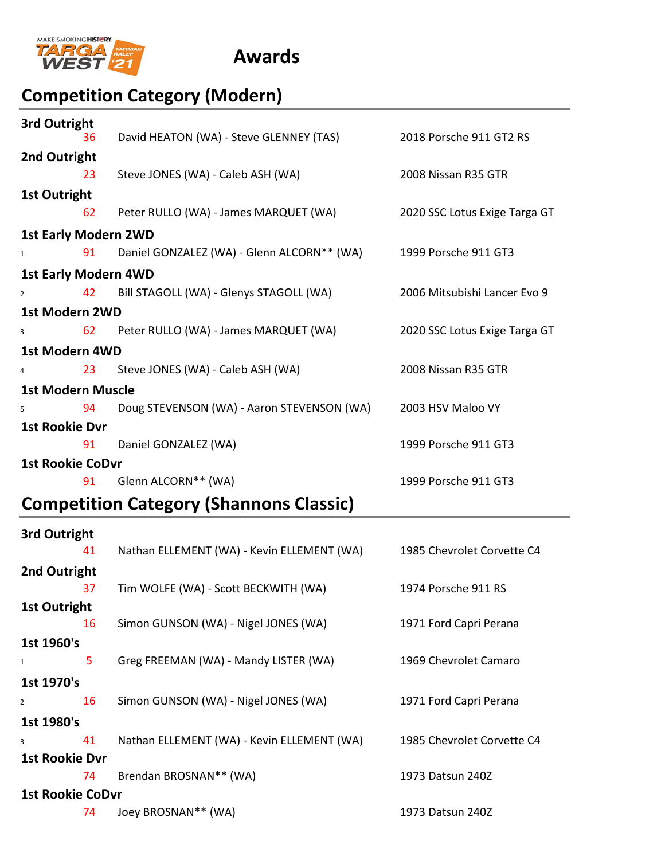

## **Competition Category (Modern)**

|                         | 3rd Outright                |                                                                    |                               |  |  |
|-------------------------|-----------------------------|--------------------------------------------------------------------|-------------------------------|--|--|
|                         | 36<br>2nd Outright          | David HEATON (WA) - Steve GLENNEY (TAS)                            | 2018 Porsche 911 GT2 RS       |  |  |
|                         | 23                          | Steve JONES (WA) - Caleb ASH (WA)                                  | 2008 Nissan R35 GTR           |  |  |
|                         | <b>1st Outright</b>         |                                                                    |                               |  |  |
|                         | 62                          | Peter RULLO (WA) - James MARQUET (WA)                              | 2020 SSC Lotus Exige Targa GT |  |  |
|                         | <b>1st Early Modern 2WD</b> |                                                                    |                               |  |  |
| $\mathbf{1}$            |                             | 91 Daniel GONZALEZ (WA) - Glenn ALCORN** (WA) 1999 Porsche 911 GT3 |                               |  |  |
|                         | <b>1st Early Modern 4WD</b> |                                                                    |                               |  |  |
| $\overline{2}$          | 42                          | Bill STAGOLL (WA) - Glenys STAGOLL (WA)                            | 2006 Mitsubishi Lancer Evo 9  |  |  |
| <b>1st Modern 2WD</b>   |                             |                                                                    |                               |  |  |
| 3                       |                             | 62 Peter RULLO (WA) - James MARQUET (WA)                           | 2020 SSC Lotus Exige Targa GT |  |  |
|                         | <b>1st Modern 4WD</b>       |                                                                    |                               |  |  |
|                         |                             | 4 23 Steve JONES (WA) - Caleb ASH (WA)                             | 2008 Nissan R35 GTR           |  |  |
|                         | <b>1st Modern Muscle</b>    |                                                                    |                               |  |  |
| 5                       | 94                          | Doug STEVENSON (WA) - Aaron STEVENSON (WA)                         | 2003 HSV Maloo VY             |  |  |
|                         | <b>1st Rookie Dvr</b>       |                                                                    |                               |  |  |
|                         | 91                          | Daniel GONZALEZ (WA)                                               | 1999 Porsche 911 GT3          |  |  |
| <b>1st Rookie CoDvr</b> |                             |                                                                    |                               |  |  |
|                         | 91                          | Glenn ALCORN** (WA)                                                | 1999 Porsche 911 GT3          |  |  |
|                         |                             |                                                                    |                               |  |  |

## **Competition Category (Shannons Classic)**

| 3rd Outright            |            |                                            |                            |  |  |
|-------------------------|------------|--------------------------------------------|----------------------------|--|--|
|                         | 41         | Nathan ELLEMENT (WA) - Kevin ELLEMENT (WA) | 1985 Chevrolet Corvette C4 |  |  |
| 2nd Outright            |            |                                            |                            |  |  |
|                         | 37         | Tim WOLFE (WA) - Scott BECKWITH (WA)       | 1974 Porsche 911 RS        |  |  |
| <b>1st Outright</b>     |            |                                            |                            |  |  |
|                         | 16         | Simon GUNSON (WA) - Nigel JONES (WA)       | 1971 Ford Capri Perana     |  |  |
| 1st 1960's              |            |                                            |                            |  |  |
| 1                       | 5          | Greg FREEMAN (WA) - Mandy LISTER (WA)      | 1969 Chevrolet Camaro      |  |  |
|                         | 1st 1970's |                                            |                            |  |  |
| $\overline{2}$          | 16         | Simon GUNSON (WA) - Nigel JONES (WA)       | 1971 Ford Capri Perana     |  |  |
|                         | 1st 1980's |                                            |                            |  |  |
| 3                       | 41         | Nathan ELLEMENT (WA) - Kevin ELLEMENT (WA) | 1985 Chevrolet Corvette C4 |  |  |
| <b>1st Rookie Dvr</b>   |            |                                            |                            |  |  |
|                         | 74         | Brendan BROSNAN** (WA)                     | 1973 Datsun 240Z           |  |  |
| <b>1st Rookie CoDvr</b> |            |                                            |                            |  |  |
|                         | 74         | Joey BROSNAN** (WA)                        | 1973 Datsun 240Z           |  |  |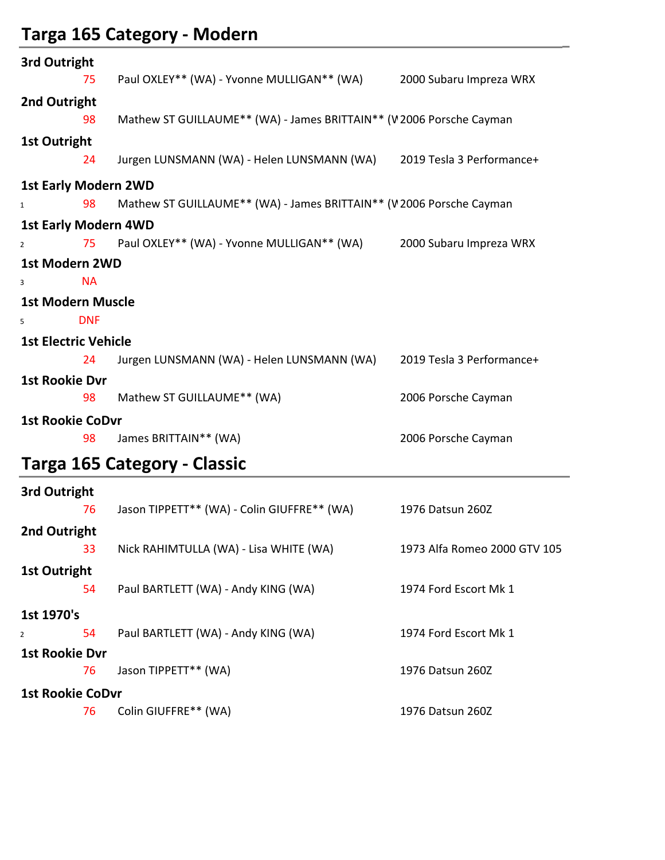# **Targa 165 Category ‐ Modern**

| 3rd Outright                |                                                                      |                              |  |  |  |
|-----------------------------|----------------------------------------------------------------------|------------------------------|--|--|--|
| 75                          | Paul OXLEY** (WA) - Yvonne MULLIGAN** (WA)                           | 2000 Subaru Impreza WRX      |  |  |  |
| 2nd Outright                |                                                                      |                              |  |  |  |
| 98                          | Mathew ST GUILLAUME** (WA) - James BRITTAIN** (V2006 Porsche Cayman  |                              |  |  |  |
| <b>1st Outright</b>         |                                                                      |                              |  |  |  |
| 24                          | Jurgen LUNSMANN (WA) - Helen LUNSMANN (WA) 2019 Tesla 3 Performance+ |                              |  |  |  |
| <b>1st Early Modern 2WD</b> |                                                                      |                              |  |  |  |
| 98<br>$\mathbf{1}$          | Mathew ST GUILLAUME** (WA) - James BRITTAIN** (V2006 Porsche Cayman  |                              |  |  |  |
| <b>1st Early Modern 4WD</b> |                                                                      |                              |  |  |  |
| 75<br>$\overline{2}$        | Paul OXLEY** (WA) - Yvonne MULLIGAN** (WA)                           | 2000 Subaru Impreza WRX      |  |  |  |
| <b>1st Modern 2WD</b>       |                                                                      |                              |  |  |  |
| <b>NA</b><br>3              |                                                                      |                              |  |  |  |
| <b>1st Modern Muscle</b>    |                                                                      |                              |  |  |  |
| <b>DNF</b><br>5             |                                                                      |                              |  |  |  |
| <b>1st Electric Vehicle</b> |                                                                      |                              |  |  |  |
| 24                          | Jurgen LUNSMANN (WA) - Helen LUNSMANN (WA)                           | 2019 Tesla 3 Performance+    |  |  |  |
| <b>1st Rookie Dvr</b>       |                                                                      |                              |  |  |  |
| 98                          | Mathew ST GUILLAUME** (WA)                                           | 2006 Porsche Cayman          |  |  |  |
| <b>1st Rookie CoDvr</b>     |                                                                      |                              |  |  |  |
| 98                          | James BRITTAIN** (WA)                                                | 2006 Porsche Cayman          |  |  |  |
|                             | Targa 165 Category - Classic                                         |                              |  |  |  |
| 3rd Outright                |                                                                      |                              |  |  |  |
| 76                          | Jason TIPPETT** (WA) - Colin GIUFFRE** (WA) 1976 Datsun 260Z         |                              |  |  |  |
| 2nd Outright                |                                                                      |                              |  |  |  |
| 33                          | Nick RAHIMTULLA (WA) - Lisa WHITE (WA)                               | 1973 Alfa Romeo 2000 GTV 105 |  |  |  |
| <b>1st Outright</b>         |                                                                      |                              |  |  |  |
| 54                          | Paul BARTLETT (WA) - Andy KING (WA)                                  | 1974 Ford Escort Mk 1        |  |  |  |
| 1st 1970's                  |                                                                      |                              |  |  |  |
| 54<br>$\overline{2}$        | Paul BARTLETT (WA) - Andy KING (WA)                                  | 1974 Ford Escort Mk 1        |  |  |  |
| <b>1st Rookie Dvr</b>       |                                                                      |                              |  |  |  |
| 76                          | Jason TIPPETT** (WA)                                                 | 1976 Datsun 260Z             |  |  |  |
| <b>1st Rookie CoDvr</b>     |                                                                      |                              |  |  |  |

76 Colin GIUFFRE\*\* (WA) 1976 Datsun 260Z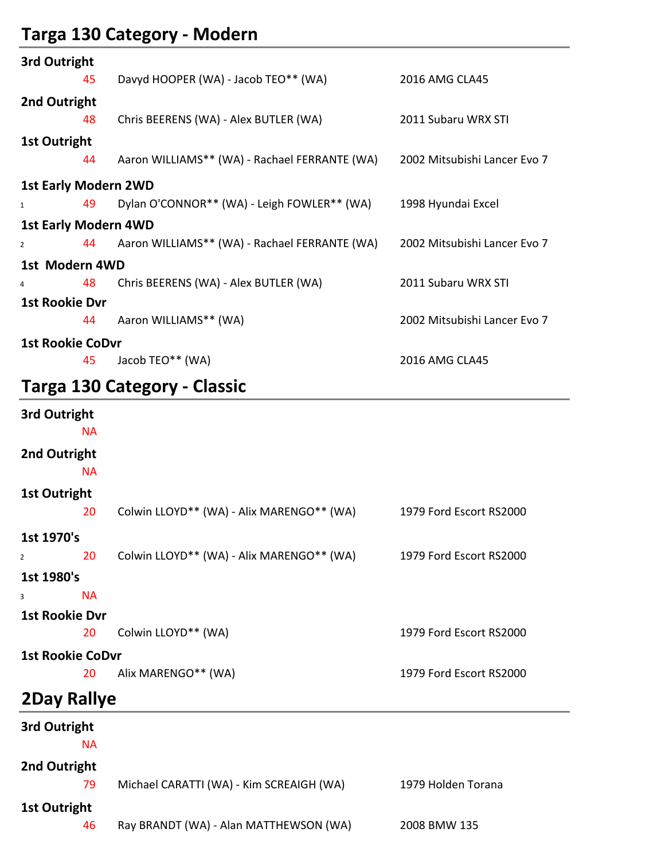# **Targa 130 Category ‐ Modern**

| 3rd Outright          |                         |                                                                            |                              |  |  |
|-----------------------|-------------------------|----------------------------------------------------------------------------|------------------------------|--|--|
|                       | 45                      | Davyd HOOPER (WA) - Jacob TEO** (WA)                                       | 2016 AMG CLA45               |  |  |
| 2nd Outright          |                         |                                                                            |                              |  |  |
|                       | 48                      | Chris BEERENS (WA) - Alex BUTLER (WA)                                      | 2011 Subaru WRX STI          |  |  |
| <b>1st Outright</b>   |                         |                                                                            |                              |  |  |
|                       | 44                      | Aaron WILLIAMS** (WA) - Rachael FERRANTE (WA) 2002 Mitsubishi Lancer Evo 7 |                              |  |  |
|                       |                         | <b>1st Early Modern 2WD</b>                                                |                              |  |  |
| $\mathbf{1}$          | 49                      | Dylan O'CONNOR** (WA) - Leigh FOWLER** (WA)                                | 1998 Hyundai Excel           |  |  |
|                       |                         | <b>1st Early Modern 4WD</b>                                                |                              |  |  |
| $\overline{2}$        |                         | 44 Aaron WILLIAMS** (WA) - Rachael FERRANTE (WA)                           | 2002 Mitsubishi Lancer Evo 7 |  |  |
| 1st Modern 4WD        |                         |                                                                            |                              |  |  |
| 4                     | 48                      | Chris BEERENS (WA) - Alex BUTLER (WA)                                      | 2011 Subaru WRX STI          |  |  |
| <b>1st Rookie Dvr</b> |                         |                                                                            |                              |  |  |
|                       | 44                      | Aaron WILLIAMS** (WA)                                                      | 2002 Mitsubishi Lancer Evo 7 |  |  |
|                       | <b>1st Rookie CoDvr</b> |                                                                            |                              |  |  |
|                       | 45                      | Jacob TEO** (WA)                                                           | 2016 AMG CLA45               |  |  |
|                       |                         |                                                                            |                              |  |  |

## **Targa 130 Category ‐ Classic**

| 3rd Outright<br><b>NA</b> |                                                                   |                         |  |  |
|---------------------------|-------------------------------------------------------------------|-------------------------|--|--|
| 2nd Outright<br><b>NA</b> |                                                                   |                         |  |  |
| <b>1st Outright</b>       |                                                                   |                         |  |  |
| 20                        | Colwin LLOYD** (WA) - Alix MARENGO** (WA) 1979 Ford Escort RS2000 |                         |  |  |
| 1st 1970's                |                                                                   |                         |  |  |
| 20<br>$\overline{2}$      | Colwin LLOYD** (WA) - Alix MARENGO** (WA) 1979 Ford Escort RS2000 |                         |  |  |
| 1st 1980's                |                                                                   |                         |  |  |
| <b>NA</b><br>3            |                                                                   |                         |  |  |
| <b>1st Rookie Dvr</b>     |                                                                   |                         |  |  |
| 20                        | Colwin LLOYD** (WA)                                               | 1979 Ford Escort RS2000 |  |  |
| <b>1st Rookie CoDvr</b>   |                                                                   |                         |  |  |
| 20                        | Alix MARENGO** (WA)                                               | 1979 Ford Escort RS2000 |  |  |
| <b>2Day Rallye</b>        |                                                                   |                         |  |  |
| 3rd Outright              |                                                                   |                         |  |  |
| <b>NA</b>                 |                                                                   |                         |  |  |
| 2nd Outright              |                                                                   |                         |  |  |
| 79                        | Michael CARATTI (WA) - Kim SCREAIGH (WA)                          | 1979 Holden Torana      |  |  |
| <b>1st Outright</b>       |                                                                   |                         |  |  |
| 46                        | Ray BRANDT (WA) - Alan MATTHEWSON (WA)                            | 2008 BMW 135            |  |  |